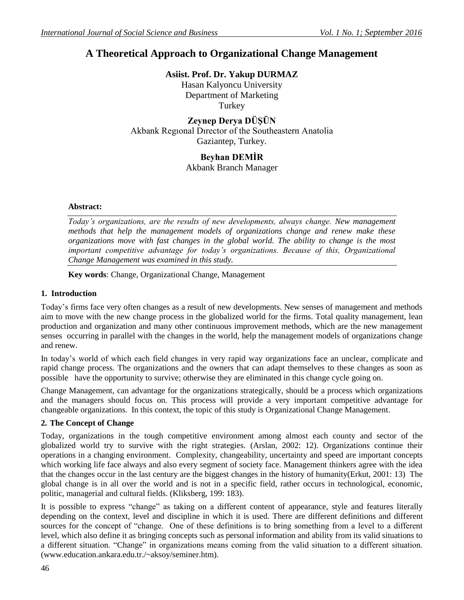# **A Theoretical Approach to Organizational Change Management**

**Asiist. Prof. Dr. Yakup DURMAZ**

Hasan Kalyoncu University Department of Marketing **Turkey** 

**Zeynep Derya DÜŞÜN** Akbank Regıonal Dırector of the Southeastern Anatolia Gaziantep, Turkey.

# **Beyhan DEMİR**

Akbank Branch Manager

# **Abstract:**

*Today's organizations, are the results of new developments, always change. New management methods that help the management models of organizations change and renew make these organizations move with fast changes in the global world. The ability to change is the most important competitive advantage for today's organizations. Because of this, Organizational Change Management was examined in this study.* 

**Key words**: Change, Organizational Change, Management

# **1. Introduction**

Today's firms face very often changes as a result of new developments. New senses of management and methods aim to move with the new change process in the globalized world for the firms. Total quality management, lean production and organization and many other continuous improvement methods, which are the new management senses occurring in parallel with the changes in the world, help the management models of organizations change and renew.

In today's world of which each field changes in very rapid way organizations face an unclear, complicate and rapid change process. The organizations and the owners that can adapt themselves to these changes as soon as possible have the opportunity to survive; otherwise they are eliminated in this change cycle going on.

Change Management, can advantage for the organizations strategically, should be a process which organizations and the managers should focus on. This process will provide a very important competitive advantage for changeable organizations. In this context, the topic of this study is Organizational Change Management.

# **2. The Concept of Change**

Today, organizations in the tough competitive environment among almost each county and sector of the globalized world try to survive with the right strategies. (Arslan, 2002: 12). Organizations continue their operations in a changing environment. Complexity, changeability, uncertainty and speed are important concepts which working life face always and also every segment of society face. Management thinkers agree with the idea that the changes occur in the last century are the biggest changes in the history of humanity(Erkut, 2001: 13) The global change is in all over the world and is not in a specific field, rather occurs in technological, economic, politic, managerial and cultural fields. (Kliksberg, 199: 183).

It is possible to express "change" as taking on a different content of appearance, style and features literally depending on the context, level and discipline in which it is used. There are different definitions and different sources for the concept of "change. One of these definitions is to bring something from a level to a different level, which also define it as bringing concepts such as personal information and ability from its valid situations to a different situation. "Change" in organizations means coming from the valid situation to a different situation. (www.education.ankara.edu.tr./~aksoy/seminer.htm).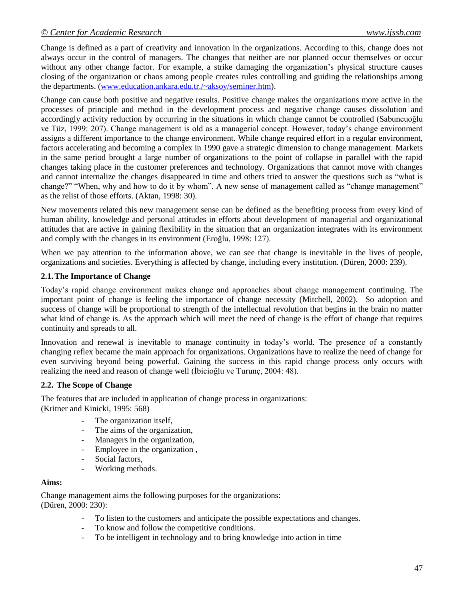Change is defined as a part of creativity and innovation in the organizations. According to this, change does not always occur in the control of managers. The changes that neither are nor planned occur themselves or occur without any other change factor. For example, a strike damaging the organization's physical structure causes closing of the organization or chaos among people creates rules controlling and guiding the relationships among the departments. [\(www.education.ankara.edu.tr./~aksoy/seminer.htm\)](http://www.education.ankara.edu.tr./~aksoy/seminer.htm).

Change can cause both positive and negative results. Positive change makes the organizations more active in the processes of principle and method in the development process and negative change causes dissolution and accordingly activity reduction by occurring in the situations in which change cannot be controlled (Sabuncuoğlu ve Tüz, 1999: 207). Change management is old as a managerial concept. However, today's change environment assigns a different importance to the change environment. While change required effort in a regular environment, factors accelerating and becoming a complex in 1990 gave a strategic dimension to change management. Markets in the same period brought a large number of organizations to the point of collapse in parallel with the rapid changes taking place in the customer preferences and technology. Organizations that cannot move with changes and cannot internalize the changes disappeared in time and others tried to answer the questions such as "what is change?" "When, why and how to do it by whom". A new sense of management called as "change management" as the relist of those efforts. (Aktan, 1998: 30).

New movements related this new management sense can be defined as the benefiting process from every kind of human ability, knowledge and personal attitudes in efforts about development of managerial and organizational attitudes that are active in gaining flexibility in the situation that an organization integrates with its environment and comply with the changes in its environment (Eroğlu, 1998: 127).

When we pay attention to the information above, we can see that change is inevitable in the lives of people, organizations and societies. Everything is affected by change, including every institution. (Düren, 2000: 239).

# **2.1.The Importance of Change**

Today's rapid change environment makes change and approaches about change management continuing. The important point of change is feeling the importance of change necessity (Mitchell, 2002). So adoption and success of change will be proportional to strength of the intellectual revolution that begins in the brain no matter what kind of change is. As the approach which will meet the need of change is the effort of change that requires continuity and spreads to all.

Innovation and renewal is inevitable to manage continuity in today's world. The presence of a constantly changing reflex became the main approach for organizations. Organizations have to realize the need of change for even surviving beyond being powerful. Gaining the success in this rapid change process only occurs with realizing the need and reason of change well (İbicioğlu ve Turunç, 2004: 48).

# **2.2. The Scope of Change**

The features that are included in application of change process in organizations: (Kritner and Kinicki, 1995: 568)

- The organization itself,
	- The aims of the organization,
	- Managers in the organization,
- Employee in the organization ,
- Social factors,
- Working methods.

#### **Aims:**

Change management aims the following purposes for the organizations: (Düren, 2000: 230):

- To listen to the customers and anticipate the possible expectations and changes.
- To know and follow the competitive conditions.
- To be intelligent in technology and to bring knowledge into action in time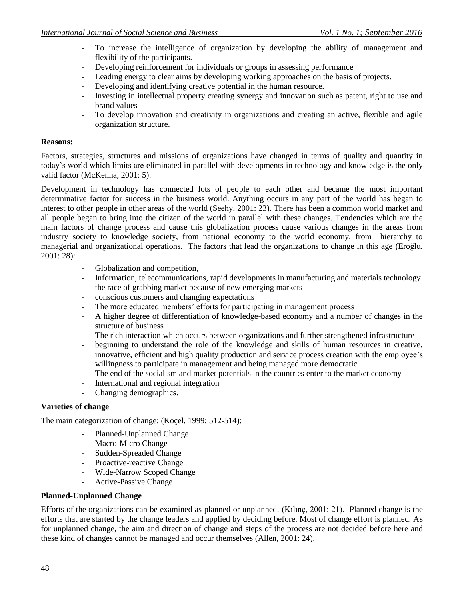- To increase the intelligence of organization by developing the ability of management and flexibility of the participants.
- Developing reinforcement for individuals or groups in assessing performance
- Leading energy to clear aims by developing working approaches on the basis of projects.
- Developing and identifying creative potential in the human resource.
- Investing in intellectual property creating synergy and innovation such as patent, right to use and brand values
- To develop innovation and creativity in organizations and creating an active, flexible and agile organization structure.

#### **Reasons:**

Factors, strategies, structures and missions of organizations have changed in terms of quality and quantity in today's world which limits are eliminated in parallel with developments in technology and knowledge is the only valid factor (McKenna, 2001: 5).

Development in technology has connected lots of people to each other and became the most important determinative factor for success in the business world. Anything occurs in any part of the world has began to interest to other people in other areas of the world (Seehy, 2001: 23). There has been a common world market and all people began to bring into the citizen of the world in parallel with these changes. Tendencies which are the main factors of change process and cause this globalization process cause various changes in the areas from industry society to knowledge society, from national economy to the world economy, from hierarchy to managerial and organizational operations. The factors that lead the organizations to change in this age (Eroğlu, 2001: 28):

- Globalization and competition,
- Information, telecommunications, rapid developments in manufacturing and materials technology
- the race of grabbing market because of new emerging markets
- conscious customers and changing expectations
- The more educated members' efforts for participating in management process
- A higher degree of differentiation of knowledge-based economy and a number of changes in the structure of business
- The rich interaction which occurs between organizations and further strengthened infrastructure
- beginning to understand the role of the knowledge and skills of human resources in creative, innovative, efficient and high quality production and service process creation with the employee's willingness to participate in management and being managed more democratic
- The end of the socialism and market potentials in the countries enter to the market economy
- International and regional integration
- Changing demographics.

#### **Varieties of change**

The main categorization of change: (Koçel, 1999: 512-514):

- Planned-Unplanned Change
- Macro-Micro Change
- Sudden-Spreaded Change
- Proactive-reactive Change
- Wide-Narrow Scoped Change
- Active-Passive Change

#### **Planned-Unplanned Change**

Efforts of the organizations can be examined as planned or unplanned. (Kılınç, 2001: 21). Planned change is the efforts that are started by the change leaders and applied by deciding before. Most of change effort is planned. As for unplanned change, the aim and direction of change and steps of the process are not decided before here and these kind of changes cannot be managed and occur themselves (Allen, 2001: 24).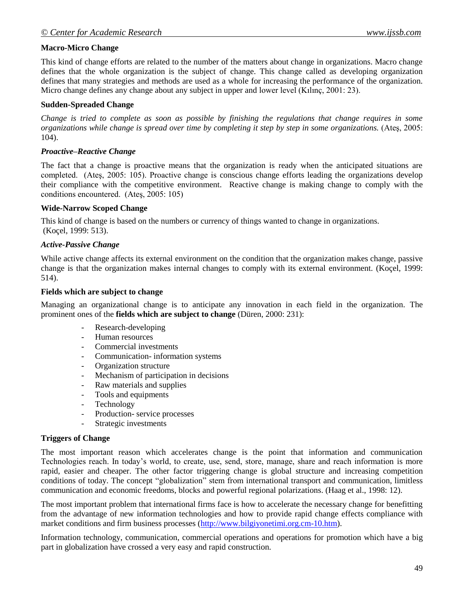# **Macro-Micro Change**

This kind of change efforts are related to the number of the matters about change in organizations. Macro change defines that the whole organization is the subject of change. This change called as developing organization defines that many strategies and methods are used as a whole for increasing the performance of the organization. Micro change defines any change about any subject in upper and lower level (Kılınç, 2001: 23).

#### **Sudden-Spreaded Change**

*Change is tried to complete as soon as possible by finishing the regulations that change requires in some organizations while change is spread over time by completing it step by step in some organizations.* (Ateş, 2005: 104).

#### *Proactive–Reactive Change*

The fact that a change is proactive means that the organization is ready when the anticipated situations are completed. (Ateş, 2005: 105). Proactive change is conscious change efforts leading the organizations develop their compliance with the competitive environment. Reactive change is making change to comply with the conditions encountered. (Ateş, 2005: 105)

#### **Wide-Narrow Scoped Change**

This kind of change is based on the numbers or currency of things wanted to change in organizations. (Koçel, 1999: 513).

# *Active-Passive Change*

While active change affects its external environment on the condition that the organization makes change, passive change is that the organization makes internal changes to comply with its external environment. (Koçel, 1999: 514).

#### **Fields which are subject to change**

Managing an organizational change is to anticipate any innovation in each field in the organization. The prominent ones of the **fields which are subject to change** (Düren, 2000: 231):

- Research-developing
- Human resources
- Commercial investments
- Communication- information systems
- Organization structure
- Mechanism of participation in decisions
- Raw materials and supplies
- Tools and equipments
- Technology
- Production- service processes
- Strategic investments

#### **Triggers of Change**

The most important reason which accelerates change is the point that information and communication Technologies reach. In today's world, to create, use, send, store, manage, share and reach information is more rapid, easier and cheaper. The other factor triggering change is global structure and increasing competition conditions of today. The concept "globalization" stem from international transport and communication, limitless communication and economic freedoms, blocks and powerful regional polarizations. (Haag et al., 1998: 12).

The most important problem that international firms face is how to accelerate the necessary change for benefitting from the advantage of new information technologies and how to provide rapid change effects compliance with market conditions and firm business processes [\(http://www.bilgiyonetimi.org.cm-10.htm\)](http://www.bilgiyonetimi.org.cm-10.htm/).

Information technology, communication, commercial operations and operations for promotion which have a big part in globalization have crossed a very easy and rapid construction.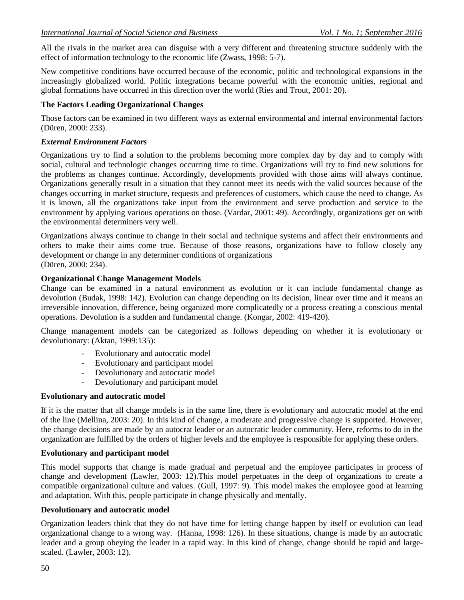All the rivals in the market area can disguise with a very different and threatening structure suddenly with the effect of information technology to the economic life (Zwass, 1998: 5-7).

New competitive conditions have occurred because of the economic, politic and technological expansions in the increasingly globalized world. Politic integrations became powerful with the economic unities, regional and global formations have occurred in this direction over the world (Ries and Trout, 2001: 20).

#### **The Factors Leading Organizational Changes**

Those factors can be examined in two different ways as external environmental and internal environmental factors (Düren, 2000: 233).

# *External Environment Factors*

Organizations try to find a solution to the problems becoming more complex day by day and to comply with social, cultural and technologic changes occurring time to time. Organizations will try to find new solutions for the problems as changes continue. Accordingly, developments provided with those aims will always continue. Organizations generally result in a situation that they cannot meet its needs with the valid sources because of the changes occurring in market structure, requests and preferences of customers, which cause the need to change. As it is known, all the organizations take input from the environment and serve production and service to the environment by applying various operations on those. (Vardar, 2001: 49). Accordingly, organizations get on with the environmental determiners very well.

Organizations always continue to change in their social and technique systems and affect their environments and others to make their aims come true. Because of those reasons, organizations have to follow closely any development or change in any determiner conditions of organizations (Düren, 2000: 234).

#### **Organizational Change Management Models**

Change can be examined in a natural environment as evolution or it can include fundamental change as devolution (Budak, 1998: 142). Evolution can change depending on its decision, linear over time and it means an irreversible innovation, difference, being organized more complicatedly or a process creating a conscious mental operations. Devolution is a sudden and fundamental change. (Kongar, 2002: 419-420).

Change management models can be categorized as follows depending on whether it is evolutionary or devolutionary: (Aktan, 1999:135):

- Evolutionary and autocratic model
- Evolutionary and participant model
- Devolutionary and autocratic model
- Devolutionary and participant model

#### **Evolutionary and autocratic model**

If it is the matter that all change models is in the same line, there is evolutionary and autocratic model at the end of the line (Mellina, 2003: 20). In this kind of change, a moderate and progressive change is supported. However, the change decisions are made by an autocrat leader or an autocratic leader community. Here, reforms to do in the organization are fulfilled by the orders of higher levels and the employee is responsible for applying these orders.

#### **Evolutionary and participant model**

This model supports that change is made gradual and perpetual and the employee participates in process of change and development (Lawler, 2003: 12).This model perpetuates in the deep of organizations to create a compatible organizational culture and values. (Gull, 1997: 9). This model makes the employee good at learning and adaptation. With this, people participate in change physically and mentally.

#### **Devolutionary and autocratic model**

Organization leaders think that they do not have time for letting change happen by itself or evolution can lead organizational change to a wrong way. (Hanna, 1998: 126). In these situations, change is made by an autocratic leader and a group obeying the leader in a rapid way. In this kind of change, change should be rapid and largescaled. (Lawler, 2003: 12).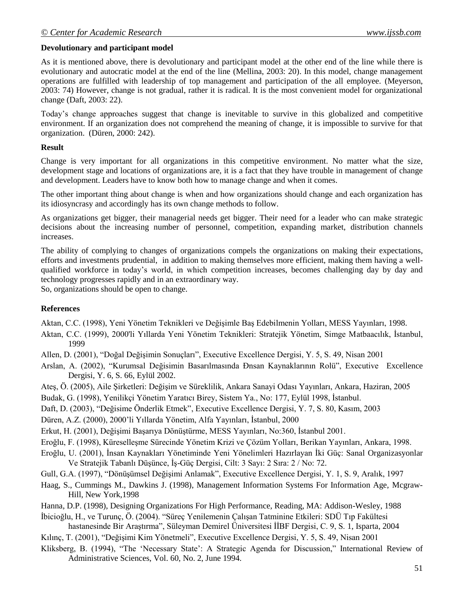# **Devolutionary and participant model**

As it is mentioned above, there is devolutionary and participant model at the other end of the line while there is evolutionary and autocratic model at the end of the line (Mellina, 2003: 20). In this model, change management operations are fulfilled with leadership of top management and participation of the all employee. (Meyerson, 2003: 74) However, change is not gradual, rather it is radical. It is the most convenient model for organizational change (Daft, 2003: 22).

Today's change approaches suggest that change is inevitable to survive in this globalized and competitive environment. If an organization does not comprehend the meaning of change, it is impossible to survive for that organization. (Düren, 2000: 242).

#### **Result**

Change is very important for all organizations in this competitive environment. No matter what the size, development stage and locations of organizations are, it is a fact that they have trouble in management of change and development. Leaders have to know both how to manage change and when it comes.

The other important thing about change is when and how organizations should change and each organization has its idiosyncrasy and accordingly has its own change methods to follow.

As organizations get bigger, their managerial needs get bigger. Their need for a leader who can make strategic decisions about the increasing number of personnel, competition, expanding market, distribution channels increases.

The ability of complying to changes of organizations compels the organizations on making their expectations, efforts and investments prudential, in addition to making themselves more efficient, making them having a wellqualified workforce in today's world, in which competition increases, becomes challenging day by day and technology progresses rapidly and in an extraordinary way.

So, organizations should be open to change.

#### **References**

Aktan, C.C. (1998), Yeni Yönetim Teknikleri ve Değişimle Baş Edebilmenin Yolları, MESS Yayınları, 1998.

- Aktan, C.C. (1999), 2000'li Yıllarda Yeni Yönetim Teknikleri: Stratejik Yönetim, Simge Matbaacılık, İstanbul, 1999
- Allen, D. (2001), "Doğal Değişimin Sonuçları", Executive Excellence Dergisi, Y. 5, S. 49, Nisan 2001
- Arslan, A. (2002), "Kurumsal Değisimin Basarılmasında Đnsan Kaynaklarının Rolü", Executive Excellence Dergisi, Y. 6, S. 66, Eylül 2002.
- Ateş, Ö. (2005), Aile Şirketleri: Değişim ve Süreklilik, Ankara Sanayi Odası Yayınları, Ankara, Haziran, 2005

Budak, G. (1998), Yenilikçi Yönetim Yaratıcı Birey, Sistem Ya., No: 177, Eylül 1998, İstanbul.

Daft, D. (2003), "Değisime Önderlik Etmek", Executive Excellence Dergisi, Y. 7, S. 80, Kasım, 2003

Düren, A.Z. (2000), 2000'li Yıllarda Yönetim, Alfa Yayınları, İstanbul, 2000

Erkut, H. (2001), Değişimi Başarıya Dönüştürme, MESS Yayınları, No:360, İstanbul 2001.

Eroğlu, F. (1998), Küreselleşme Sürecinde Yönetim Krizi ve Çözüm Yolları, Berikan Yayınları, Ankara, 1998.

Eroğlu, U. (2001), İnsan Kaynakları Yönetiminde Yeni Yönelimleri Hazırlayan İki Güç: Sanal Organizasyonlar Ve Stratejik Tabanlı Düşünce, İş-Güç Dergisi, Cilt: 3 Sayı: 2 Sıra: 2 / No: 72.

Gull, G.A. (1997), "Dönüşümsel Değişimi Anlamak", Executive Excellence Dergisi, Y. 1, S. 9, Aralık, 1997

Haag, S., Cummings M., Dawkins J. (1998), Management Information Systems For Information Age, Mcgraw-Hill, New York,1998

Hanna, D.P. (1998), Designing Organizations For High Performance, Reading, MA: Addison-Wesley, 1988

İbicioğlu, H., ve Turunç, Ö. (2004). "Süreç Yenilemenin Çalışan Tatminine Etkileri: SDÜ Tıp Fakültesi hastanesinde Bir Araştırma", Süleyman Demirel Üniversitesi İİBF Dergisi, C. 9, S. 1, Isparta, 2004

Kılınç, T. (2001), "Değişimi Kim Yönetmeli", Executive Excellence Dergisi, Y. 5, S. 49, Nisan 2001

Kliksberg, B. (1994), "The 'Necessary State': A Strategic Agenda for Discussion," International Review of Administrative Sciences, Vol. 60, No. 2, June 1994.